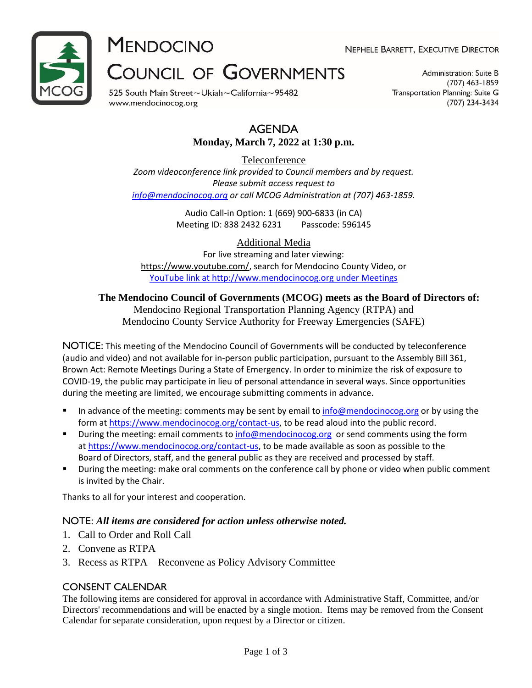

**MENDOCINO** 

NEPHELE BARRETT, EXECUTIVE DIRECTOR

# **COUNCIL OF GOVERNMENTS**

525 South Main Street~Ukiah~California~95482 www.mendocinocog.org

Administration: Suite B  $(707)$  463-1859 Transportation Planning: Suite G (707) 234-3434

## AGENDA **Monday, March 7, 2022 at 1:30 p.m.**

Teleconference *Zoom videoconference link provided to Council members and by request. Please submit access request to [info@mendocinocog.org](mailto:info@mendocinocog.org) or call MCOG Administration at (707) 463-1859.*

> Audio Call-in Option: 1 (669) 900-6833 (in CA) Meeting ID: 838 2432 6231 Passcode: 596145

Additional Media For live streaming and later viewing: [https://www.youtube.com/,](https://www.youtube.com/) search for Mendocino County Video, or [YouTube link at http://www.mendocinocog.org under Meetings](https://www.mendocinocog.org/meetings)

# **The Mendocino Council of Governments (MCOG) meets as the Board of Directors of:**

Mendocino Regional Transportation Planning Agency (RTPA) and Mendocino County Service Authority for Freeway Emergencies (SAFE)

NOTICE: This meeting of the Mendocino Council of Governments will be conducted by teleconference (audio and video) and not available for in-person public participation, pursuant to the Assembly Bill 361, Brown Act: Remote Meetings During a State of Emergency. In order to minimize the risk of exposure to COVID-19, the public may participate in lieu of personal attendance in several ways. Since opportunities during the meeting are limited, we encourage submitting comments in advance.

- In advance of the meeting: comments may be sent by email to [info@mendocinocog.org](mailto:info@mendocinocog.org) or by using the form at [https://www.mendocinocog.org/contact-us,](https://www.mendocinocog.org/contact-us) to be read aloud into the public record.
- During the meeting: email comments to [info@mendocinocog.org](mailto:info@mendocinocog.org) or send comments using the form at [https://www.mendocinocog.org/contact-us,](https://www.mendocinocog.org/contact-us) to be made available as soon as possible to the Board of Directors, staff, and the general public as they are received and processed by staff.
- During the meeting: make oral comments on the conference call by phone or video when public comment is invited by the Chair.

Thanks to all for your interest and cooperation.

## NOTE: *All items are considered for action unless otherwise noted.*

- 1. Call to Order and Roll Call
- 2. Convene as RTPA
- 3. Recess as RTPA Reconvene as Policy Advisory Committee

## CONSENT CALENDAR

The following items are considered for approval in accordance with Administrative Staff, Committee, and/or Directors' recommendations and will be enacted by a single motion. Items may be removed from the Consent Calendar for separate consideration, upon request by a Director or citizen.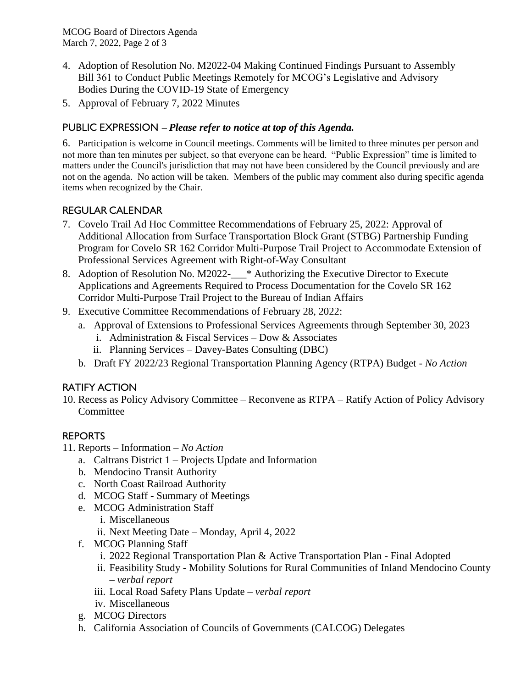- 4. Adoption of Resolution No. M2022-04 Making Continued Findings Pursuant to Assembly Bill 361 to Conduct Public Meetings Remotely for MCOG's Legislative and Advisory Bodies During the COVID-19 State of Emergency
- 5. Approval of February 7, 2022 Minutes

# PUBLIC EXPRESSION – *Please refer to notice at top of this Agenda.*

6. Participation is welcome in Council meetings. Comments will be limited to three minutes per person and not more than ten minutes per subject, so that everyone can be heard. "Public Expression" time is limited to matters under the Council's jurisdiction that may not have been considered by the Council previously and are not on the agenda. No action will be taken. Members of the public may comment also during specific agenda items when recognized by the Chair.

# REGULAR CALENDAR

- 7. Covelo Trail Ad Hoc Committee Recommendations of February 25, 2022: Approval of Additional Allocation from Surface Transportation Block Grant (STBG) Partnership Funding Program for Covelo SR 162 Corridor Multi-Purpose Trail Project to Accommodate Extension of Professional Services Agreement with Right-of-Way Consultant
- 8. Adoption of Resolution No. M2022-<sup>\*</sup> Authorizing the Executive Director to Execute Applications and Agreements Required to Process Documentation for the Covelo SR 162 Corridor Multi-Purpose Trail Project to the Bureau of Indian Affairs
- 9. Executive Committee Recommendations of February 28, 2022:
	- a. Approval of Extensions to Professional Services Agreements through September 30, 2023
		- i. Administration & Fiscal Services Dow & Associates
		- ii. Planning Services Davey-Bates Consulting (DBC)
	- b. Draft FY 2022/23 Regional Transportation Planning Agency (RTPA) Budget *- No Action*

## RATIFY ACTION

10. Recess as Policy Advisory Committee – Reconvene as RTPA – Ratify Action of Policy Advisory **Committee** 

## REPORTS

- 11. Reports Information *No Action*
	- a. Caltrans District 1 Projects Update and Information
	- b. Mendocino Transit Authority
	- c. North Coast Railroad Authority
	- d. MCOG Staff Summary of Meetings
	- e. MCOG Administration Staff
		- i. Miscellaneous
		- ii. Next Meeting Date Monday, April 4, 2022
	- f. MCOG Planning Staff
		- i. 2022 Regional Transportation Plan & Active Transportation Plan Final Adopted
		- ii. Feasibility Study Mobility Solutions for Rural Communities of Inland Mendocino County – *verbal report*
		- iii. Local Road Safety Plans Update *verbal report*
		- iv. Miscellaneous
	- g. MCOG Directors
	- h. California Association of Councils of Governments (CALCOG) Delegates